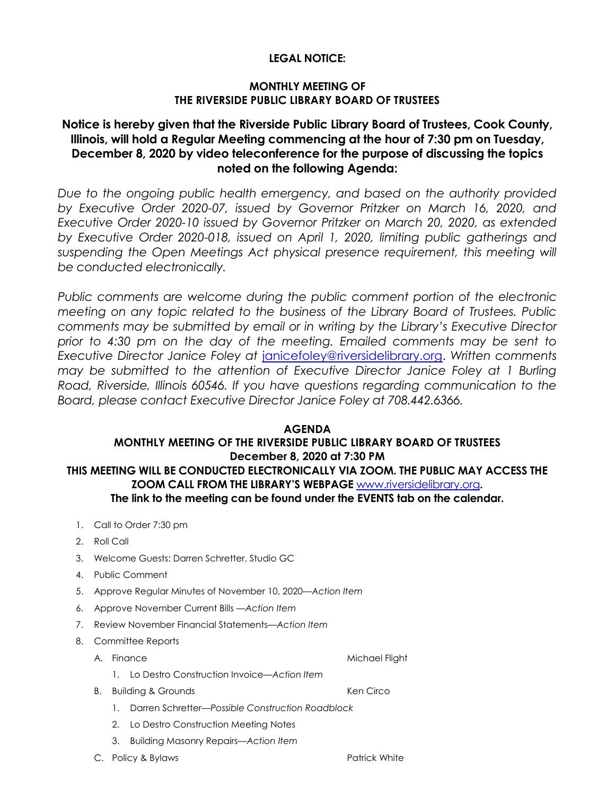### **LEGAL NOTICE:**

### **MONTHLY MEETING OF THE RIVERSIDE PUBLIC LIBRARY BOARD OF TRUSTEES**

# **Notice is hereby given that the Riverside Public Library Board of Trustees, Cook County, Illinois, will hold a Regular Meeting commencing at the hour of 7:30 pm on Tuesday, December 8, 2020 by video teleconference for the purpose of discussing the topics noted on the following Agenda:**

*Due to the ongoing public health emergency, and based on the authority provided by Executive Order 2020-07, issued by Governor Pritzker on March 16, 2020, and Executive Order 2020-10 issued by Governor Pritzker on March 20, 2020, as extended by Executive Order 2020-018, issued on April 1, 2020, limiting public gatherings and suspending the Open Meetings Act physical presence requirement, this meeting will be conducted electronically.* 

Public comments are welcome during the public comment portion of the electronic *meeting on any topic related to the business of the Library Board of Trustees. Public comments may be submitted by email or in writing by the Library's Executive Director prior to 4:30 pm on the day of the meeting. Emailed comments may be sent to Executive Director Janice Foley at* [janicefoley@riversidelibrary.org.](mailto:janicefoley@riversidelibrary.org) *Written comments may be submitted to the attention of Executive Director Janice Foley at 1 Burling Road, Riverside, Illinois 60546. If you have questions regarding communication to the Board, please contact Executive Director Janice Foley at 708.442.6366.* 

### **AGENDA MONTHLY MEETING OF THE RIVERSIDE PUBLIC LIBRARY BOARD OF TRUSTEES December 8, 2020 at 7:30 PM THIS MEETING WILL BE CONDUCTED ELECTRONICALLY VIA ZOOM. THE PUBLIC MAY ACCESS THE**

# **ZOOM CALL FROM THE LIBRARY'S WEBPAGE** [www.riversidelibrary.org](http://www.riversidelibrary.org/)**. The link to the meeting can be found under the EVENTS tab on the calendar.**

- 1. Call to Order 7:30 pm
- 2. Roll Call
- 3. Welcome Guests: Darren Schretter, Studio GC
- 4. Public Comment
- 5. Approve Regular Minutes of November 10, 2020*—Action Item*
- 6. Approve November Current Bills —*Action Item*
- 7. Review November Financial Statements—*Action Item*
- 8. Committee Reports
	- A. Finance Michael Flight
		- 1. Lo Destro Construction Invoice—*Action Item*
	- B. Building & Grounds **Ken Circo** 
		- 1. Darren Schretter—*Possible Construction Roadblock*
		- 2. Lo Destro Construction Meeting Notes
		- 3. Building Masonry Repairs—*Action Item*

C. Policy & Bylaws **Patrick White** Patrick White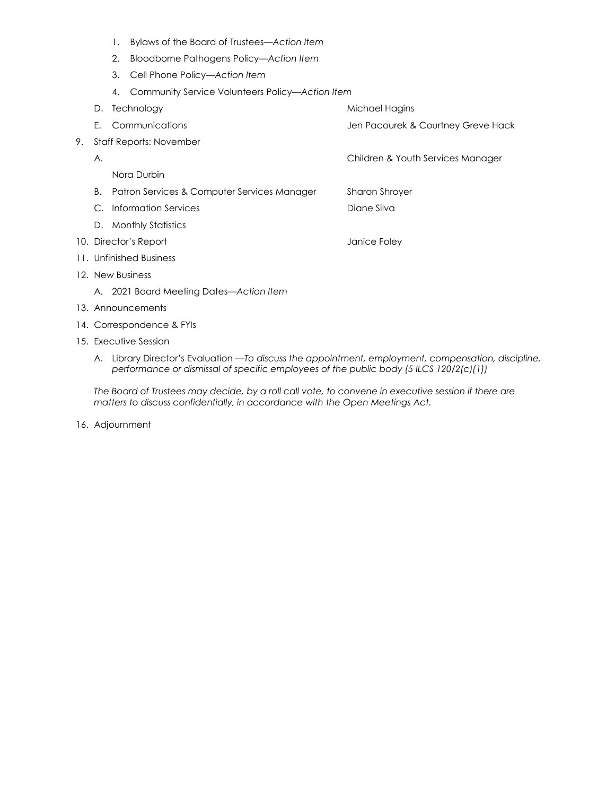- 1. Bylaws of the Board of Trustees*—Action Item*
- 2. Bloodborne Pathogens Policy*—Action Item*
- 3. Cell Phone Policy*—Action Item*
- 4. Community Service Volunteers Policy*—Action Item*
- D. Technology and the matter of the Michael Hagins E. Communications Jen Pacourek & Courtney Greve Hack 9. Staff Reports: November A. Children & Youth Services Manager Nora Durbin B. Patron Services & Computer Services Manager Sharon Shroyer C. Information Services Diane Silva D. Monthly Statistics 10. Director's Report and Table 10. Director's Report 11. Unfinished Business 12. New Business A. 2021 Board Meeting Dates—*Action Item*
- 13. Announcements
- 14. Correspondence & FYIs
- 15. Executive Session
	- A. Library Director's Evaluation —*To discuss the appointment, employment, compensation, discipline, performance or dismissal of specific employees of the public body (5 ILCS 120/2(c)(1))*

*The Board of Trustees may decide, by a roll call vote, to convene in executive session if there are matters to discuss confidentially, in accordance with the Open Meetings Act.*

16. Adjournment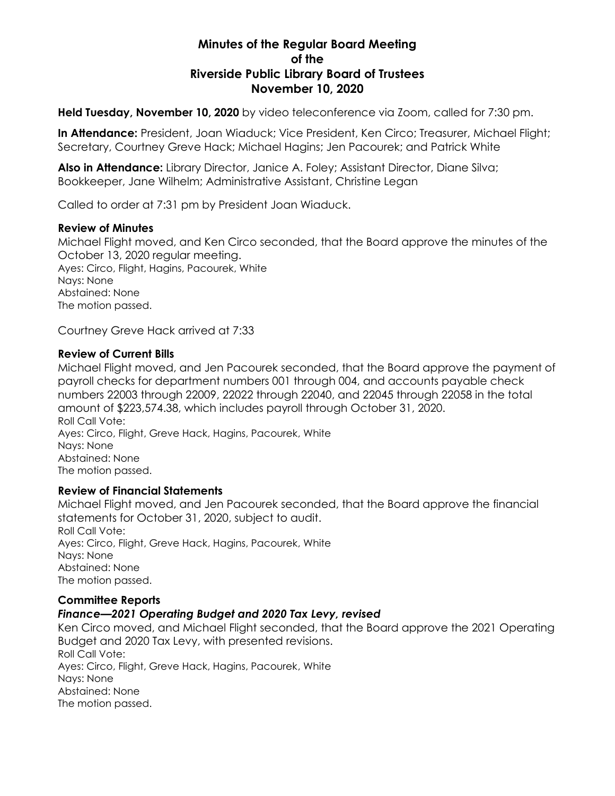# **Minutes of the Regular Board Meeting of the Riverside Public Library Board of Trustees November 10, 2020**

**Held Tuesday, November 10, 2020** by video teleconference via Zoom, called for 7:30 pm.

**In Attendance:** President, Joan Wiaduck; Vice President, Ken Circo; Treasurer, Michael Flight; Secretary, Courtney Greve Hack; Michael Hagins; Jen Pacourek; and Patrick White

**Also in Attendance:** Library Director, Janice A. Foley; Assistant Director, Diane Silva; Bookkeeper, Jane Wilhelm; Administrative Assistant, Christine Legan

Called to order at 7:31 pm by President Joan Wiaduck.

### **Review of Minutes**

Michael Flight moved, and Ken Circo seconded, that the Board approve the minutes of the October 13, 2020 regular meeting. Ayes: Circo, Flight, Hagins, Pacourek, White Nays: None Abstained: None The motion passed.

Courtney Greve Hack arrived at 7:33

### **Review of Current Bills**

Michael Flight moved, and Jen Pacourek seconded, that the Board approve the payment of payroll checks for department numbers 001 through 004, and accounts payable check numbers 22003 through 22009, 22022 through 22040, and 22045 through 22058 in the total amount of \$223,574.38, which includes payroll through October 31, 2020. Roll Call Vote: Ayes: Circo, Flight, Greve Hack, Hagins, Pacourek, White Nays: None Abstained: None The motion passed.

## **Review of Financial Statements**

Michael Flight moved, and Jen Pacourek seconded, that the Board approve the financial statements for October 31, 2020, subject to audit. Roll Call Vote: Ayes: Circo, Flight, Greve Hack, Hagins, Pacourek, White Nays: None Abstained: None The motion passed.

## **Committee Reports**

## *Finance—2021 Operating Budget and 2020 Tax Levy, revised*

Ken Circo moved, and Michael Flight seconded, that the Board approve the 2021 Operating Budget and 2020 Tax Levy, with presented revisions. Roll Call Vote: Ayes: Circo, Flight, Greve Hack, Hagins, Pacourek, White Nays: None Abstained: None The motion passed.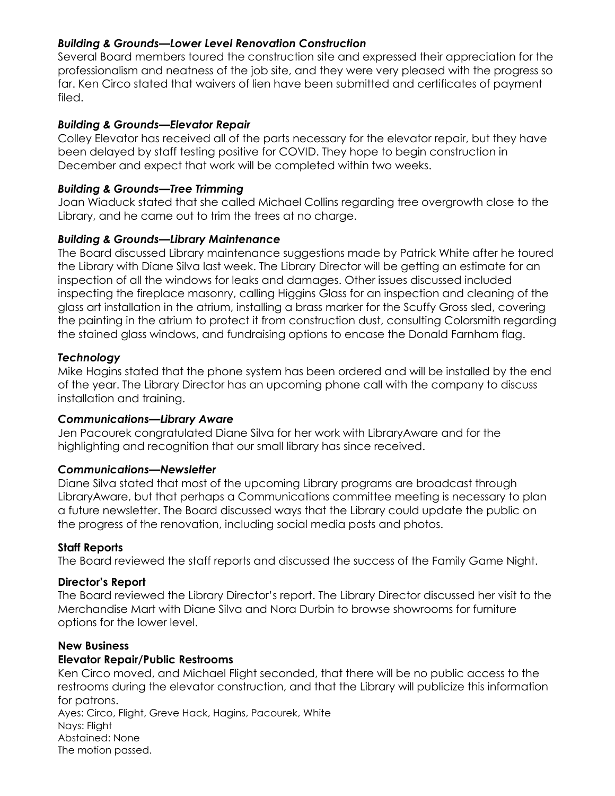## *Building & Grounds—Lower Level Renovation Construction*

Several Board members toured the construction site and expressed their appreciation for the professionalism and neatness of the job site, and they were very pleased with the progress so far. Ken Circo stated that waivers of lien have been submitted and certificates of payment filed.

## *Building & Grounds—Elevator Repair*

Colley Elevator has received all of the parts necessary for the elevator repair, but they have been delayed by staff testing positive for COVID. They hope to begin construction in December and expect that work will be completed within two weeks.

## *Building & Grounds—Tree Trimming*

Joan Wiaduck stated that she called Michael Collins regarding tree overgrowth close to the Library, and he came out to trim the trees at no charge.

# *Building & Grounds—Library Maintenance*

The Board discussed Library maintenance suggestions made by Patrick White after he toured the Library with Diane Silva last week. The Library Director will be getting an estimate for an inspection of all the windows for leaks and damages. Other issues discussed included inspecting the fireplace masonry, calling Higgins Glass for an inspection and cleaning of the glass art installation in the atrium, installing a brass marker for the Scuffy Gross sled, covering the painting in the atrium to protect it from construction dust, consulting Colorsmith regarding the stained glass windows, and fundraising options to encase the Donald Farnham flag.

# *Technology*

Mike Hagins stated that the phone system has been ordered and will be installed by the end of the year. The Library Director has an upcoming phone call with the company to discuss installation and training.

## *Communications—Library Aware*

Jen Pacourek congratulated Diane Silva for her work with LibraryAware and for the highlighting and recognition that our small library has since received.

## *Communications—Newsletter*

Diane Silva stated that most of the upcoming Library programs are broadcast through LibraryAware, but that perhaps a Communications committee meeting is necessary to plan a future newsletter. The Board discussed ways that the Library could update the public on the progress of the renovation, including social media posts and photos.

## **Staff Reports**

The Board reviewed the staff reports and discussed the success of the Family Game Night.

## **Director's Report**

The Board reviewed the Library Director's report. The Library Director discussed her visit to the Merchandise Mart with Diane Silva and Nora Durbin to browse showrooms for furniture options for the lower level.

## **New Business**

# **Elevator Repair/Public Restrooms**

Ken Circo moved, and Michael Flight seconded, that there will be no public access to the restrooms during the elevator construction, and that the Library will publicize this information for patrons.

Ayes: Circo, Flight, Greve Hack, Hagins, Pacourek, White Nays: Flight Abstained: None The motion passed.